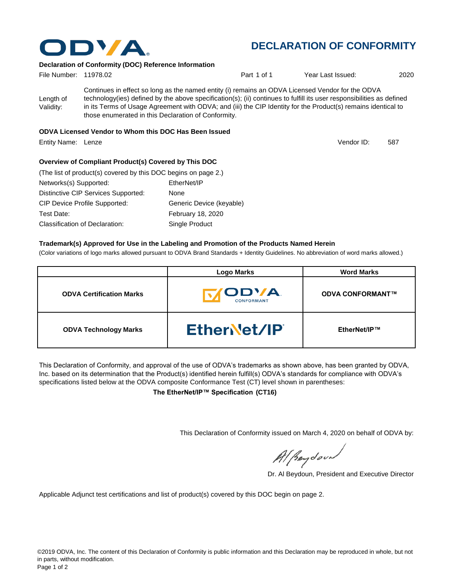

## **DECLARATION OF CONFORMITY**

#### **Declaration of Conformity (DOC) Reference Information**

| File Number: 11978.02  |                                                                                                                                                                                                                                                                                                                                                                                                   | Part 1 of 1 | Year Last Issued: | 2020 |
|------------------------|---------------------------------------------------------------------------------------------------------------------------------------------------------------------------------------------------------------------------------------------------------------------------------------------------------------------------------------------------------------------------------------------------|-------------|-------------------|------|
| Length of<br>Validity: | Continues in effect so long as the named entity (i) remains an ODVA Licensed Vendor for the ODVA<br>technology(ies) defined by the above specification(s); (ii) continues to fulfill its user responsibilities as defined<br>in its Terms of Usage Agreement with ODVA; and (iii) the CIP Identity for the Product(s) remains identical to<br>those enumerated in this Declaration of Conformity. |             |                   |      |
|                        | $\mathbf{u}$ , $\mathbf{u}$ , $\mathbf{u}$ , $\mathbf{u}$ , $\mathbf{u}$ , $\mathbf{u}$ , $\mathbf{u}$ , $\mathbf{u}$                                                                                                                                                                                                                                                                             |             |                   |      |

#### **ODVA Licensed Vendor to Whom this DOC Has Been Issued**

Entity Name: Lenze 587

Vendor ID:

#### **Overview of Compliant Product(s) Covered by This DOC**

| (The list of product(s) covered by this DOC begins on page 2.) |                          |
|----------------------------------------------------------------|--------------------------|
| Networks(s) Supported:                                         | EtherNet/IP              |
| Distinctive CIP Services Supported:                            | None                     |
| <b>CIP Device Profile Supported:</b>                           | Generic Device (keyable) |
| Test Date:                                                     | <b>February 18, 2020</b> |
| Classification of Declaration:                                 | Single Product           |

#### **Trademark(s) Approved for Use in the Labeling and Promotion of the Products Named Herein**

(Color variations of logo marks allowed pursuant to ODVA Brand Standards + Identity Guidelines. No abbreviation of word marks allowed.)

|                                 | <b>Logo Marks</b>          | <b>Word Marks</b>       |
|---------------------------------|----------------------------|-------------------------|
| <b>ODVA Certification Marks</b> | <b>IODVA</b><br>CONFORMANT | <b>ODVA CONFORMANT™</b> |
| <b>ODVA Technology Marks</b>    | EtherNet/IP                | EtherNet/IP™            |

This Declaration of Conformity, and approval of the use of ODVA's trademarks as shown above, has been granted by ODVA, Inc. based on its determination that the Product(s) identified herein fulfill(s) ODVA's standards for compliance with ODVA's specifications listed below at the ODVA composite Conformance Test (CT) level shown in parentheses:

**The EtherNet/IP™ Specification (CT16)**

This Declaration of Conformity issued on March 4, 2020 on behalf of ODVA by:

Al Beydoor

Dr. Al Beydoun, President and Executive Director

Applicable Adjunct test certifications and list of product(s) covered by this DOC begin on page 2.